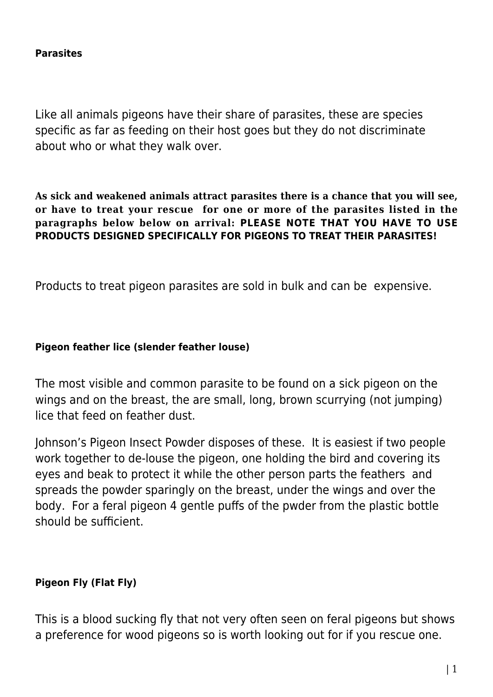Like all animals pigeons have their share of parasites, these are species specific as far as feeding on their host goes but they do not discriminate about who or what they walk over.

**As sick and weakened animals attract parasites there is a chance that you will see, or have to treat your rescue for one or more of the parasites listed in the paragraphs below below on arrival: PLEASE NOTE THAT YOU HAVE TO USE PRODUCTS DESIGNED SPECIFICALLY FOR PIGEONS TO TREAT THEIR PARASITES!**

Products to treat pigeon parasites are sold in bulk and can be expensive.

#### **Pigeon feather lice (slender feather louse)**

The most visible and common parasite to be found on a sick pigeon on the wings and on the breast, the are small, long, brown scurrying (not jumping) lice that feed on feather dust.

Johnson's Pigeon Insect Powder disposes of these. It is easiest if two people work together to de-louse the pigeon, one holding the bird and covering its eyes and beak to protect it while the other person parts the feathers and spreads the powder sparingly on the breast, under the wings and over the body. For a feral pigeon 4 gentle puffs of the pwder from the plastic bottle should be sufficient.

#### **Pigeon Fly (Flat Fly)**

This is a blood sucking fly that not very often seen on feral pigeons but shows a preference for wood pigeons so is worth looking out for if you rescue one.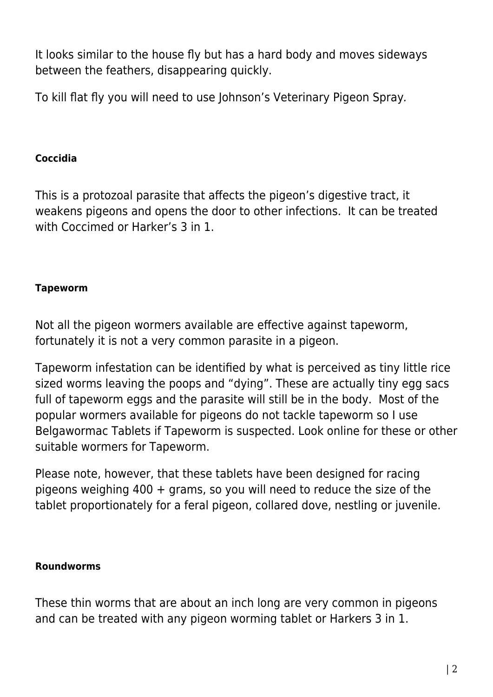It looks similar to the house fly but has a hard body and moves sideways between the feathers, disappearing quickly.

To kill flat fly you will need to use Johnson's Veterinary Pigeon Spray.

## **Coccidia**

This is a protozoal parasite that affects the pigeon's digestive tract, it weakens pigeons and opens the door to other infections. It can be treated with Coccimed or Harker's 3 in 1.

## **Tapeworm**

Not all the pigeon wormers available are effective against tapeworm, fortunately it is not a very common parasite in a pigeon.

Tapeworm infestation can be identified by what is perceived as tiny little rice sized worms leaving the poops and "dying". These are actually tiny egg sacs full of tapeworm eggs and the parasite will still be in the body. Most of the popular wormers available for pigeons do not tackle tapeworm so I use Belgawormac Tablets if Tapeworm is suspected. Look online for these or other suitable wormers for Tapeworm.

Please note, however, that these tablets have been designed for racing pigeons weighing 400 + grams, so you will need to reduce the size of the tablet proportionately for a feral pigeon, collared dove, nestling or juvenile.

## **Roundworms**

These thin worms that are about an inch long are very common in pigeons and can be treated with any pigeon worming tablet or Harkers 3 in 1.